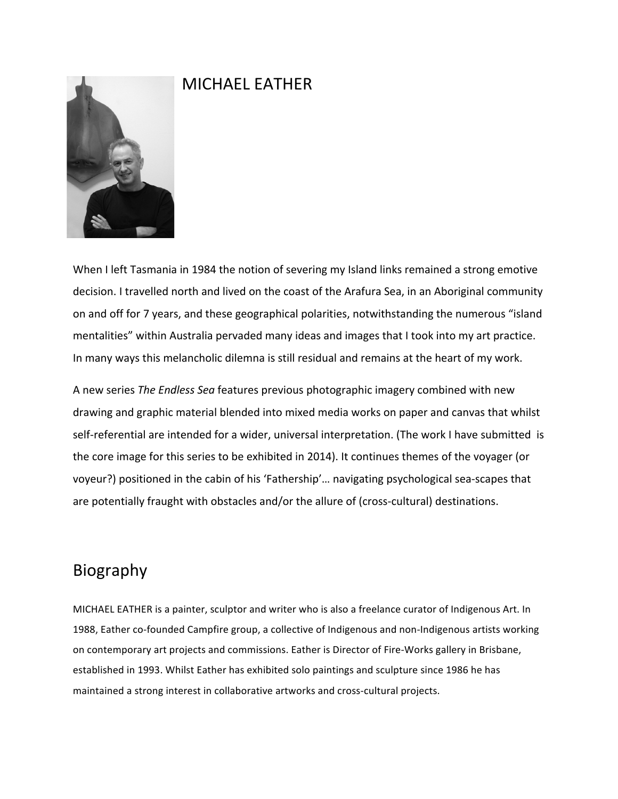## MICHAEL EATHER



When I left Tasmania in 1984 the notion of severing my Island links remained a strong emotive decision. I travelled north and lived on the coast of the Arafura Sea, in an Aboriginal community on and off for 7 years, and these geographical polarities, notwithstanding the numerous "island mentalities" within Australia pervaded many ideas and images that I took into my art practice. In many ways this melancholic dilemna is still residual and remains at the heart of my work.

A new series *The Endless Sea* features previous photographic imagery combined with new drawing and graphic material blended into mixed media works on paper and canvas that whilst self-referential are intended for a wider, universal interpretation. (The work I have submitted is the core image for this series to be exhibited in 2014). It continues themes of the voyager (or voyeur?) positioned in the cabin of his 'Fathership'... navigating psychological sea-scapes that are potentially fraught with obstacles and/or the allure of (cross-cultural) destinations.

## Biography

MICHAEL EATHER is a painter, sculptor and writer who is also a freelance curator of Indigenous Art. In 1988, Eather co-founded Campfire group, a collective of Indigenous and non-Indigenous artists working on contemporary art projects and commissions. Eather is Director of Fire-Works gallery in Brisbane, established in 1993. Whilst Eather has exhibited solo paintings and sculpture since 1986 he has maintained a strong interest in collaborative artworks and cross-cultural projects.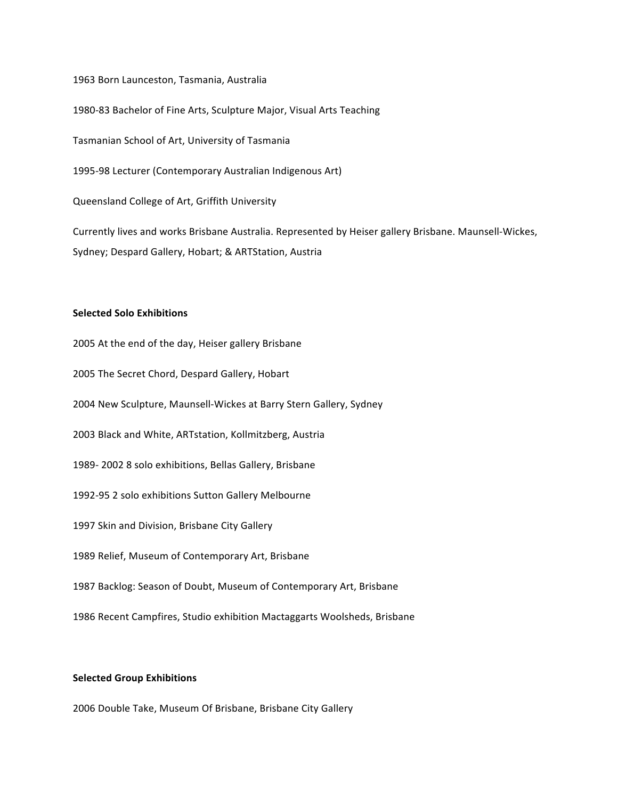1963 Born Launceston, Tasmania, Australia 1980-83 Bachelor of Fine Arts, Sculpture Major, Visual Arts Teaching Tasmanian School of Art, University of Tasmania 1995-98 Lecturer (Contemporary Australian Indigenous Art) Queensland College of Art, Griffith University Currently lives and works Brisbane Australia. Represented by Heiser gallery Brisbane. Maunsell-Wickes, Sydney; Despard Gallery, Hobart; & ARTStation, Austria

## **Selected Solo Exhibitions**

2005 At the end of the day, Heiser gallery Brisbane

2005 The Secret Chord, Despard Gallery, Hobart

2004 New Sculpture, Maunsell-Wickes at Barry Stern Gallery, Sydney

2003 Black and White, ARTstation, Kollmitzberg, Austria

1989- 2002 8 solo exhibitions, Bellas Gallery, Brisbane

1992-95 2 solo exhibitions Sutton Gallery Melbourne

1997 Skin and Division, Brisbane City Gallery

1989 Relief, Museum of Contemporary Art, Brisbane

1987 Backlog: Season of Doubt, Museum of Contemporary Art, Brisbane

1986 Recent Campfires, Studio exhibition Mactaggarts Woolsheds, Brisbane

## **Selected Group Exhibitions**

2006 Double Take, Museum Of Brisbane, Brisbane City Gallery